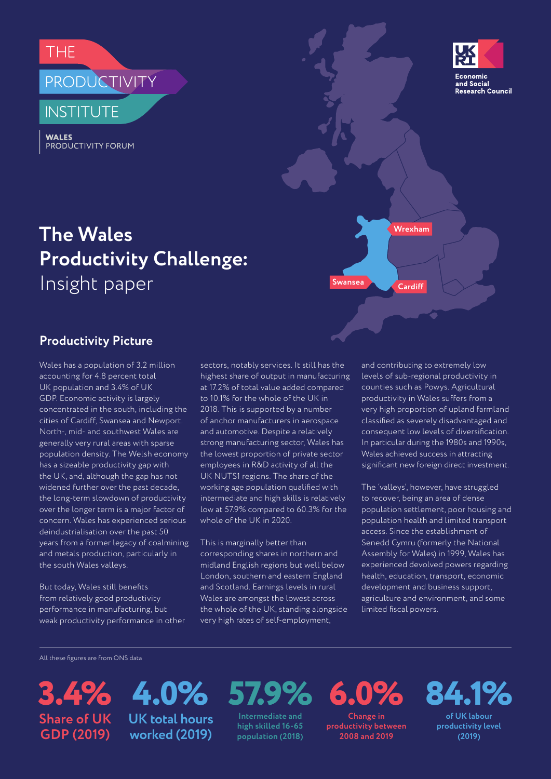**THF** 

# PRODUCTIVITY

**INSTITUTE** 

**WALES** PRODUCTIVITY FORUM



## **The Wales Productivity Challenge:** Insight paper **Cardiff**

## **Productivity Picture**

Wales has a population of 3.2 million accounting for 4.8 percent total UK population and 3.4% of UK GDP. Economic activity is largely concentrated in the south, including the cities of Cardiff, Swansea and Newport. North-, mid- and southwest Wales are generally very rural areas with sparse population density. The Welsh economy has a sizeable productivity gap with the UK, and, although the gap has not widened further over the past decade, the long-term slowdown of productivity over the longer term is a major factor of concern. Wales has experienced serious deindustrialisation over the past 50 years from a former legacy of coalmining and metals production, particularly in the south Wales valleys.

But today, Wales still benefits from relatively good productivity performance in manufacturing, but weak productivity performance in other sectors, notably services. It still has the highest share of output in manufacturing at 17.2% of total value added compared to 10.1% for the whole of the UK in 2018. This is supported by a number of anchor manufacturers in aerospace and automotive. Despite a relatively strong manufacturing sector, Wales has the lowest proportion of private sector employees in R&D activity of all the UK NUTS1 regions. The share of the working age population qualified with intermediate and high skills is relatively low at 57.9% compared to 60.3% for the whole of the UK in 2020.

This is marginally better than corresponding shares in northern and midland English regions but well below London, southern and eastern England and Scotland. Earnings levels in rural Wales are amongst the lowest across the whole of the UK, standing alongside very high rates of self-employment,

and contributing to extremely low levels of sub-regional productivity in counties such as Powys. Agricultural productivity in Wales suffers from a very high proportion of upland farmland classified as severely disadvantaged and consequent low levels of diversification. In particular during the 1980s and 1990s, Wales achieved success in attracting significant new foreign direct investment.

**Wrexham**

**Swansea**

The 'valleys', however, have struggled to recover, being an area of dense population settlement, poor housing and population health and limited transport access. Since the establishment of Senedd Cymru (formerly the National Assembly for Wales) in 1999, Wales has experienced devolved powers regarding health, education, transport, economic development and business support, agriculture and environment, and some limited fiscal powers.

All these figures are from ONS data

**3.4% 57.9% 4.0% Share of UK GDP (2019)**

**UK total hours worked (2019)**

**Intermediate and high skilled 16-65 population (2018)** **6.0% Change in** 

**productivity between 2008 and 2019**

**84.1%**

**of UK labour productivity level (2019)**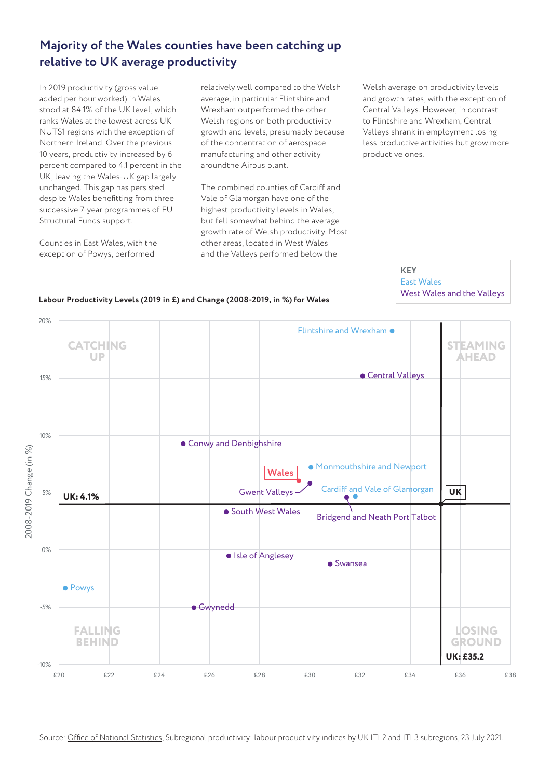## **Majority of the Wales counties have been catching up relative to UK average productivity**

In 2019 productivity (gross value added per hour worked) in Wales stood at 84.1% of the UK level, which ranks Wales at the lowest across UK NUTS1 regions with the exception of Northern Ireland. Over the previous 10 years, productivity increased by 6 percent compared to 4.1 percent in the UK, leaving the Wales-UK gap largely unchanged. This gap has persisted despite Wales benefitting from three successive 7-year programmes of EU Structural Funds support.

Counties in East Wales, with the exception of Powys, performed

relatively well compared to the Welsh average, in particular Flintshire and Wrexham outperformed the other Welsh regions on both productivity growth and levels, presumably because of the concentration of aerospace manufacturing and other activity aroundthe Airbus plant.

The combined counties of Cardiff and Vale of Glamorgan have one of the highest productivity levels in Wales, but fell somewhat behind the average growth rate of Welsh productivity. Most other areas, located in West Wales and the Valleys performed below the

Welsh average on productivity levels and growth rates, with the exception of Central Valleys. However, in contrast to Flintshire and Wrexham, Central Valleys shrank in employment losing less productive activities but grow more productive ones.

> **KEY** East Wales

West Wales and the Valleys



#### **Labour Productivity Levels (2019 in £) and Change (2008-2019, in %) for Wales**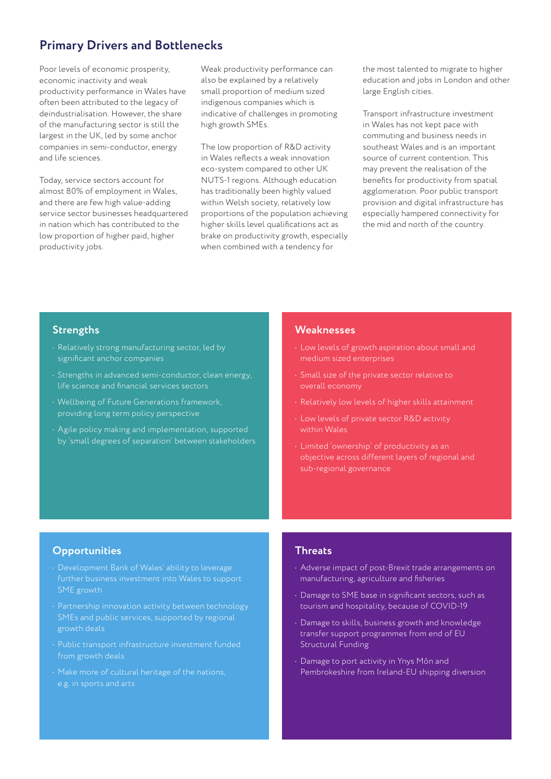## **Primary Drivers and Bottlenecks**

Poor levels of economic prosperity, economic inactivity and weak productivity performance in Wales have often been attributed to the legacy of deindustrialisation. However, the share of the manufacturing sector is still the largest in the UK, led by some anchor companies in semi-conductor, energy and life sciences.

Today, service sectors account for almost 80% of employment in Wales, and there are few high value-adding service sector businesses headquartered in nation which has contributed to the low proportion of higher paid, higher productivity jobs.

Weak productivity performance can also be explained by a relatively small proportion of medium sized indigenous companies which is indicative of challenges in promoting high growth SMEs.

The low proportion of R&D activity in Wales reflects a weak innovation eco-system compared to other UK NUTS-1 regions. Although education has traditionally been highly valued within Welsh society, relatively low proportions of the population achieving higher skills level qualifications act as brake on productivity growth, especially when combined with a tendency for

the most talented to migrate to higher education and jobs in London and other large English cities.

Transport infrastructure investment in Wales has not kept pace with commuting and business needs in southeast Wales and is an important source of current contention. This may prevent the realisation of the benefits for productivity from spatial agglomeration. Poor public transport provision and digital infrastructure has especially hampered connectivity for the mid and north of the country.

#### **Strengths**

- Relatively strong manufacturing sector, led by significant anchor companies
- Strengths in advanced semi-conductor, clean energy, life science and financial services sectors
- Wellbeing of Future Generations framework, providing long term policy perspective
- Agile policy making and implementation, supported by 'small degrees of separation' between stakeholders

#### **Weaknesses**

- Low levels of growth aspiration about small and
- Small size of the private sector relative to
- Relatively low levels of higher skills attainment
- within Wales
- objective across different layers of regional and sub-regional governance

#### **Opportunities**

- Development Bank of Wales' ability to leverage further business investment into Wales to support SME growth
- Partnership innovation activity between technology SMEs and public services, supported by regional growth deals
- Public transport infrastructure investment funded from growth deals
- Make more of cultural heritage of the nations, e.g. in sports and arts

#### **Threats**

- Adverse impact of post-Brexit trade arrangements on manufacturing, agriculture and fisheries
- Damage to SME base in significant sectors, such as tourism and hospitality, because of COVID-19
- Damage to skills, business growth and knowledge transfer support programmes from end of EU Structural Funding
- Damage to port activity in Ynys Môn and Pembrokeshire from Ireland-EU shipping diversion